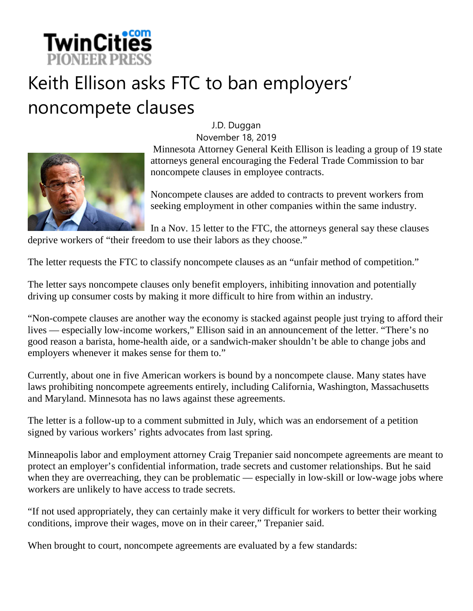

## Keith Ellison asks FTC to ban employers' noncompete clauses

J.D. Duggan



November 18, 2019 Minnesota Attorney General Keith Ellison is leading a group of 19 state attorneys general encouraging the Federal Trade Commission to bar noncompete clauses in employee contracts.

Noncompete clauses are added to contracts to prevent workers from seeking employment in other companies within the same industry.

In a Nov. 15 letter to the FTC, the attorneys general say these clauses deprive workers of "their freedom to use their labors as they choose."

The letter requests the FTC to classify noncompete clauses as an "unfair method of competition."

The letter says noncompete clauses only benefit employers, inhibiting innovation and potentially driving up consumer costs by making it more difficult to hire from within an industry.

"Non-compete clauses are another way the economy is stacked against people just trying to afford their lives — especially low-income workers," Ellison said in an announcement of the letter. "There's no good reason a barista, home-health aide, or a sandwich-maker shouldn't be able to change jobs and employers whenever it makes sense for them to."

Currently, about one in five American workers is bound by a noncompete clause. Many states have laws prohibiting noncompete agreements entirely, including California, Washington, Massachusetts and Maryland. Minnesota has no laws against these agreements.

The letter is a follow-up to a comment submitted in July, which was an endorsement of a petition signed by various workers' rights advocates from last spring.

Minneapolis labor and employment attorney Craig Trepanier said noncompete agreements are meant to protect an employer's confidential information, trade secrets and customer relationships. But he said when they are overreaching, they can be problematic — especially in low-skill or low-wage jobs where workers are unlikely to have access to trade secrets.

"If not used appropriately, they can certainly make it very difficult for workers to better their working conditions, improve their wages, move on in their career," Trepanier said.

When brought to court, noncompete agreements are evaluated by a few standards: